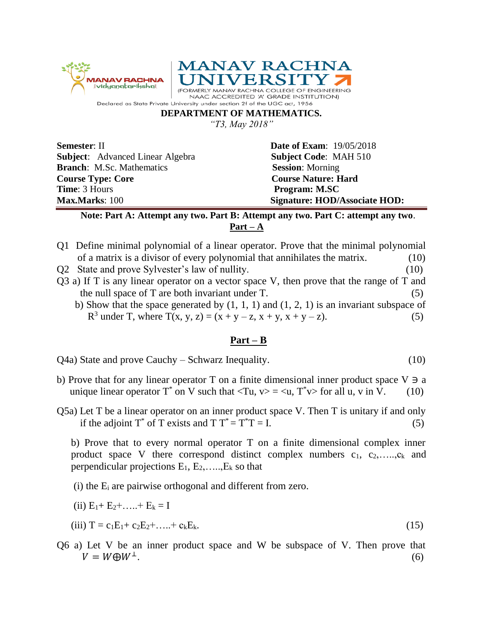

## **DEPARTMENT OF MATHEMATICS.**

*"T3, May 2018"*

**Subject**: Advanced Linear Algebra **Subject Code**: MAH 510 **Branch**: M.Sc. Mathematics **Session**: Morning **Course Type: Core Course Nature: Hard Time**: 3 Hours **Program: M.SC** 

**Semester: II Date of Exam:** 19/05/2018 **Max.Marks**: 100 **Signature: HOD/Associate HOD:**

## **Note: Part A: Attempt any two. Part B: Attempt any two. Part C: attempt any two**. **Part – A**

- Q1 Define minimal polynomial of a linear operator. Prove that the minimal polynomial of a matrix is a divisor of every polynomial that annihilates the matrix. (10)
- Q2 State and prove Sylvester's law of nullity. (10)
- Q3 a) If T is any linear operator on a vector space V, then prove that the range of T and the null space of  $T$  are both invariant under  $T$ .  $(5)$
- b) Show that the space generated by  $(1, 1, 1)$  and  $(1, 2, 1)$  is an invariant subspace of  $R^3$  under T, where T(x, y, z) = (x + y – z, x + y, x + y – z). (5)

## **Part – B**

Q4a) State and prove Cauchy – Schwarz Inequality. (10)

- b) Prove that for any linear operator T on a finite dimensional inner product space  $V \ni a$ unique linear operator  $T^*$  on V such that  $\langle Tu, v \rangle = \langle u, T^*v \rangle$  for all u, v in V. (10)
- Q5a) Let T be a linear operator on an inner product space V. Then T is unitary if and only if the adjoint  $T^*$  of T exists and T  $T^* = T^*T = I$ . (5)

b) Prove that to every normal operator T on a finite dimensional complex inner product space V there correspond distinct complex numbers  $c_1, c_2, \ldots, c_k$  and perpendicular projections  $E_1, E_2, \ldots, E_k$  so that

- (i) the E<sup>i</sup> are pairwise orthogonal and different from zero.
- (ii)  $E_1 + E_2 + \ldots + E_k = I$

(iii) 
$$
T = c_1 E_1 + c_2 E_2 + \ldots + c_k E_k.
$$
 (15)

Q6 a) Let V be an inner product space and W be subspace of V. Then prove that  $V = W \oplus W^{\perp}$ . .  $(6)$